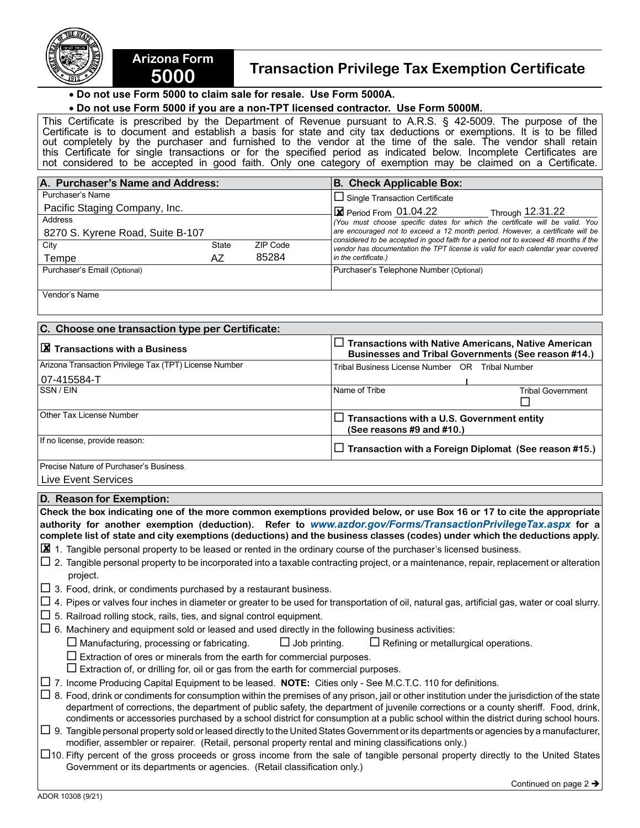

## **5000 Transaction Privilege Tax Exemption Certificate**

 • **Do not use Form 5000 to claim sale for resale. Use Form 5000A.**

**Arizona Form** 

## • **Do not use Form 5000 if you are a non-TPT licensed contractor. Use Form 5000M.**

This Certificate is prescribed by the Department of Revenue pursuant to A.R.S. § 42-5009. The purpose of the Certificate is to document and establish a basis for state and city tax deductions or exemptions. It is to be filled out completely by the purchaser and furnished to the vendor at the time of the sale. The vendor shall retain this Certificate for single transactions or for the specified period as indicated below. Incomplete Certificates are not considered to be accepted in good faith. Only one category of exemption may be claimed on a Certificate.

| A. Purchaser's Name and Address: |              |          | <b>B. Check Applicable Box:</b>                                                                                                                                         |  |  |
|----------------------------------|--------------|----------|-------------------------------------------------------------------------------------------------------------------------------------------------------------------------|--|--|
| Purchaser's Name                 |              |          | $\Box$ Single Transaction Certificate                                                                                                                                   |  |  |
| Pacific Staging Company, Inc.    |              |          | $\boxtimes$ Period From 01.04.22<br>Through 12.31.22                                                                                                                    |  |  |
| Address                          |              |          | You must choose specific dates for which the certificate will be valid. You                                                                                             |  |  |
| 8270 S. Kyrene Road, Suite B-107 |              |          | are encouraged not to exceed a 12 month period. However, a certificate will be                                                                                          |  |  |
| City                             | <b>State</b> | ZIP Code | considered to be accepted in good faith for a period not to exceed 48 months if the<br>vendor has documentation the TPT license is valid for each calendar year covered |  |  |
| Tempe                            | AZ           | 85284    | in the certificate.)                                                                                                                                                    |  |  |
| Purchaser's Email (Optional)     |              |          | Purchaser's Telephone Number (Optional)                                                                                                                                 |  |  |
|                                  |              |          |                                                                                                                                                                         |  |  |

Vendor's Name

| C. Choose one transaction type per Certificate:        |               |                                                                                                                          |  |  |
|--------------------------------------------------------|---------------|--------------------------------------------------------------------------------------------------------------------------|--|--|
| $ \cancel{\boxtimes}$ Transactions with a Business     |               | $\Box$ Transactions with Native Americans, Native American<br><b>Businesses and Tribal Governments (See reason #14.)</b> |  |  |
| Arizona Transaction Privilege Tax (TPT) License Number |               | Tribal Business License Number OR Tribal Number                                                                          |  |  |
| 07-415584-T                                            |               |                                                                                                                          |  |  |
| <b>SSN/EIN</b>                                         | Name of Tribe | <b>Tribal Government</b>                                                                                                 |  |  |
| Other Tax License Number                               |               | $\Box$ Transactions with a U.S. Government entity<br>(See reasons $#9$ and $#10$ .)                                      |  |  |
| If no license, provide reason:                         |               | $\Box$ Transaction with a Foreign Diplomat (See reason #15.)                                                             |  |  |
| Precise Nature of Purchaser's Business.                |               |                                                                                                                          |  |  |

Live Event Services

| D. Reason for Exemption:                                                                                                                                                                                                                                                                                                                                                                                                             |  |  |  |  |
|--------------------------------------------------------------------------------------------------------------------------------------------------------------------------------------------------------------------------------------------------------------------------------------------------------------------------------------------------------------------------------------------------------------------------------------|--|--|--|--|
| Check the box indicating one of the more common exemptions provided below, or use Box 16 or 17 to cite the appropriate                                                                                                                                                                                                                                                                                                               |  |  |  |  |
| authority for another exemption (deduction). Refer to www.azdor.gov/Forms/TransactionPrivilegeTax.aspx for a                                                                                                                                                                                                                                                                                                                         |  |  |  |  |
| complete list of state and city exemptions (deductions) and the business classes (codes) under which the deductions apply.                                                                                                                                                                                                                                                                                                           |  |  |  |  |
| $\boxtimes$ 1. Tangible personal property to be leased or rented in the ordinary course of the purchaser's licensed business.                                                                                                                                                                                                                                                                                                        |  |  |  |  |
| $\Box$ 2. Tangible personal property to be incorporated into a taxable contracting project, or a maintenance, repair, replacement or alteration<br>project.                                                                                                                                                                                                                                                                          |  |  |  |  |
| $\Box$ 3. Food, drink, or condiments purchased by a restaurant business.                                                                                                                                                                                                                                                                                                                                                             |  |  |  |  |
| $\Box$ 4. Pipes or valves four inches in diameter or greater to be used for transportation of oil, natural gas, artificial gas, water or coal slurry.                                                                                                                                                                                                                                                                                |  |  |  |  |
| $\Box$ 5. Railroad rolling stock, rails, ties, and signal control equipment.                                                                                                                                                                                                                                                                                                                                                         |  |  |  |  |
| $\Box$ 6. Machinery and equipment sold or leased and used directly in the following business activities:                                                                                                                                                                                                                                                                                                                             |  |  |  |  |
| $\Box$ Job printing.<br>$\square$ Manufacturing, processing or fabricating.<br>$\Box$ Refining or metallurgical operations.                                                                                                                                                                                                                                                                                                          |  |  |  |  |
| $\Box$ Extraction of ores or minerals from the earth for commercial purposes.                                                                                                                                                                                                                                                                                                                                                        |  |  |  |  |
| $\Box$ Extraction of, or drilling for, oil or gas from the earth for commercial purposes.                                                                                                                                                                                                                                                                                                                                            |  |  |  |  |
| $\Box$ 7. Income Producing Capital Equipment to be leased. <b>NOTE:</b> Cities only - See M.C.T.C. 110 for definitions.                                                                                                                                                                                                                                                                                                              |  |  |  |  |
| $\Box$ 8. Food, drink or condiments for consumption within the premises of any prison, jail or other institution under the jurisdiction of the state<br>department of corrections, the department of public safety, the department of juvenile corrections or a county sheriff. Food, drink,<br>condiments or accessories purchased by a school district for consumption at a public school within the district during school hours. |  |  |  |  |
| $\Box$ 9. Tangible personal property sold or leased directly to the United States Government or its departments or agencies by a manufacturer,<br>modifier, assembler or repairer. (Retail, personal property rental and mining classifications only.)                                                                                                                                                                               |  |  |  |  |
| $\Box$ 10. Fifty percent of the gross proceeds or gross income from the sale of tangible personal property directly to the United States<br>Government or its departments or agencies. (Retail classification only.)                                                                                                                                                                                                                 |  |  |  |  |
| Continued on page $2 \rightarrow$                                                                                                                                                                                                                                                                                                                                                                                                    |  |  |  |  |